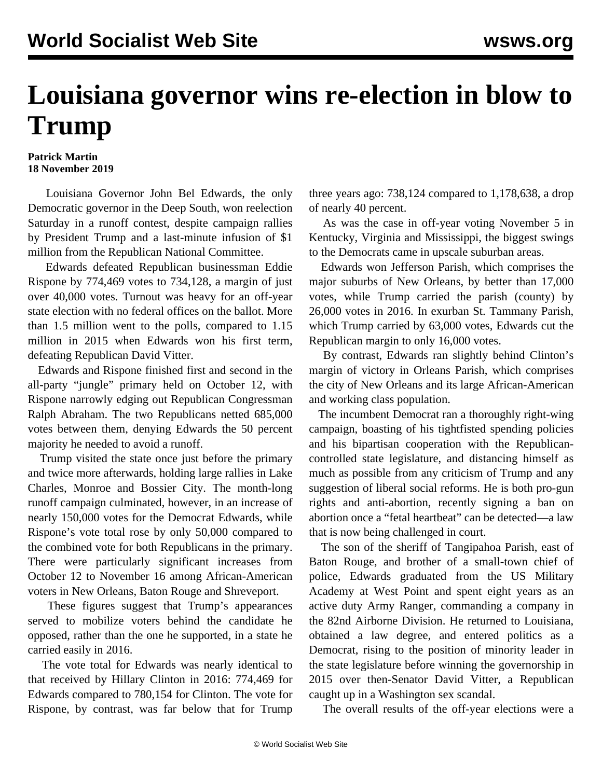## **Louisiana governor wins re-election in blow to Trump**

## **Patrick Martin 18 November 2019**

 Louisiana Governor John Bel Edwards, the only Democratic governor in the Deep South, won reelection Saturday in a runoff contest, despite campaign rallies by President Trump and a last-minute infusion of \$1 million from the Republican National Committee.

 Edwards defeated Republican businessman Eddie Rispone by 774,469 votes to 734,128, a margin of just over 40,000 votes. Turnout was heavy for an off-year state election with no federal offices on the ballot. More than 1.5 million went to the polls, compared to 1.15 million in 2015 when Edwards won his first term, defeating Republican David Vitter.

 Edwards and Rispone finished first and second in the all-party "jungle" primary held on October 12, with Rispone narrowly edging out Republican Congressman Ralph Abraham. The two Republicans netted 685,000 votes between them, denying Edwards the 50 percent majority he needed to avoid a runoff.

 Trump visited the state once just before the primary and twice more afterwards, holding large rallies in Lake Charles, Monroe and Bossier City. The month-long runoff campaign culminated, however, in an increase of nearly 150,000 votes for the Democrat Edwards, while Rispone's vote total rose by only 50,000 compared to the combined vote for both Republicans in the primary. There were particularly significant increases from October 12 to November 16 among African-American voters in New Orleans, Baton Rouge and Shreveport.

 These figures suggest that Trump's appearances served to mobilize voters behind the candidate he opposed, rather than the one he supported, in a state he carried easily in 2016.

 The vote total for Edwards was nearly identical to that received by Hillary Clinton in 2016: 774,469 for Edwards compared to 780,154 for Clinton. The vote for Rispone, by contrast, was far below that for Trump three years ago: 738,124 compared to 1,178,638, a drop of nearly 40 percent.

 As was the case in off-year voting November 5 in Kentucky, Virginia and Mississippi, the biggest swings to the Democrats came in upscale suburban areas.

 Edwards won Jefferson Parish, which comprises the major suburbs of New Orleans, by better than 17,000 votes, while Trump carried the parish (county) by 26,000 votes in 2016. In exurban St. Tammany Parish, which Trump carried by 63,000 votes, Edwards cut the Republican margin to only 16,000 votes.

 By contrast, Edwards ran slightly behind Clinton's margin of victory in Orleans Parish, which comprises the city of New Orleans and its large African-American and working class population.

 The incumbent Democrat ran a thoroughly right-wing campaign, boasting of his tightfisted spending policies and his bipartisan cooperation with the Republicancontrolled state legislature, and distancing himself as much as possible from any criticism of Trump and any suggestion of liberal social reforms. He is both pro-gun rights and anti-abortion, recently signing a ban on abortion once a "fetal heartbeat" can be detected—a law that is now being challenged in court.

 The son of the sheriff of Tangipahoa Parish, east of Baton Rouge, and brother of a small-town chief of police, Edwards graduated from the US Military Academy at West Point and spent eight years as an active duty Army Ranger, commanding a company in the 82nd Airborne Division. He returned to Louisiana, obtained a law degree, and entered politics as a Democrat, rising to the position of minority leader in the state legislature before winning the governorship in 2015 over then-Senator David Vitter, a Republican caught up in a Washington sex scandal.

The overall results of the off-year elections were a